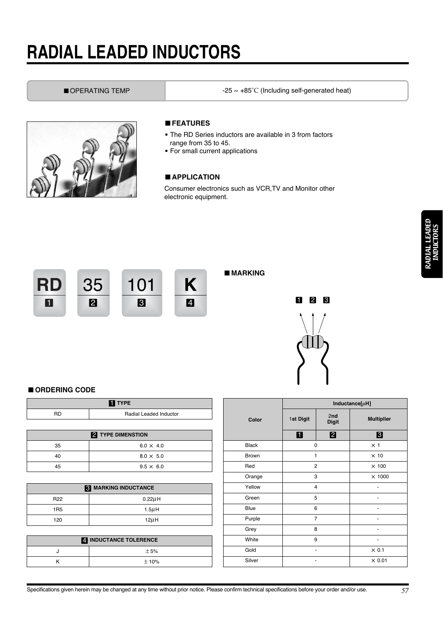# **RADIAL LEADED INDUCTORS**

■ OPERATING TEMP  $-25 \sim +85^{\circ}$ C (Including self-generated heat)



### ■*FEATURES*

- The RD Series inductors are available in 3 from factors range from 35 to 45.
- For small current applications

## ■*APPLICATION*

Consumer electronics such as VCR,TV and Monitor other electronic equipment.



# ■*MARKING*



### ■*ORDERING CODE*

| <b>TI</b> TYPE           |                        |  |  |  |  |  |  |
|--------------------------|------------------------|--|--|--|--|--|--|
| <b>RD</b>                | Radial Leaded Inductor |  |  |  |  |  |  |
|                          |                        |  |  |  |  |  |  |
| <b>2</b> TYPE DIMENSTION |                        |  |  |  |  |  |  |
| 35                       | $6.0 \times 4.0$       |  |  |  |  |  |  |
| 40                       | $8.0 \times 5.0$       |  |  |  |  |  |  |
| 45                       | $9.5 \times 6.0$       |  |  |  |  |  |  |
|                          |                        |  |  |  |  |  |  |

| <b>R</b> MARKING INDUCTANCE |              |  |  |  |  |  |
|-----------------------------|--------------|--|--|--|--|--|
| R <sub>22</sub>             | $0.22 \mu$ H |  |  |  |  |  |
| 1 <sub>R5</sub>             | $1.5\mu$ H   |  |  |  |  |  |
| 120                         | $12\mu$ H    |  |  |  |  |  |

| <b>4 INDUCTANCE TOLERENCE</b> |           |  |  |  |  |
|-------------------------------|-----------|--|--|--|--|
|                               | $+5%$     |  |  |  |  |
|                               | $\pm$ 10% |  |  |  |  |

|              |                | Inductance $[\mu H]$ |                   |
|--------------|----------------|----------------------|-------------------|
| Color        | 1st Digit      | 2nd<br><b>Digit</b>  | <b>Multiplier</b> |
|              | O              | $\boldsymbol{p}$     | $\mathbf{B}$      |
| <b>Black</b> | 0              |                      | $\times$ 1        |
| Brown        | 1              |                      | $\times$ 10       |
| Red          | 2              |                      | $\times$ 100      |
| Orange       | 3              |                      | $\times$ 1000     |
| Yellow       | 4              |                      |                   |
| Green        | 5              |                      |                   |
| Blue         | 6              |                      |                   |
| Purple       | $\overline{7}$ |                      |                   |
| Grey         | 8              |                      |                   |
| White        | 9              |                      |                   |
| Gold         |                | $\times 0.1$         |                   |
| Silver       |                |                      | $\times$ 0.01     |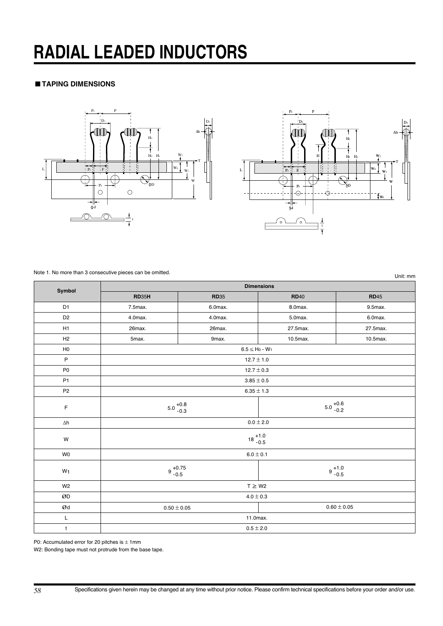# **RADIAL LEADED INDUCTORS**

# ■*TAPING DIMENSIONS*





Note 1. No more than 3 consecutive pieces can be omitted.T

Unit: mm

٦

| Symbol                                                                                                      | <b>Dimensions</b>                |                                 |                       |              |  |  |  |  |  |
|-------------------------------------------------------------------------------------------------------------|----------------------------------|---------------------------------|-----------------------|--------------|--|--|--|--|--|
|                                                                                                             | <b>RD35H</b>                     | <b>RD35</b>                     | <b>RD40</b>           | <b>RD</b> 45 |  |  |  |  |  |
| D <sub>1</sub>                                                                                              | 7.5max.                          | 6.0max.                         | 8.0max.               | 9.5max.      |  |  |  |  |  |
| D <sub>2</sub>                                                                                              | 4.0max.                          | 4.0max.                         | 5.0max.               | 6.0max.      |  |  |  |  |  |
| H1                                                                                                          | 26max.                           | 26max.                          | 27.5max.              | 27.5max.     |  |  |  |  |  |
| H <sub>2</sub>                                                                                              | 5max.                            | 9max.                           | 10.5max.              | 10.5max.     |  |  |  |  |  |
| H <sub>0</sub>                                                                                              |                                  | $6.5 \leq H_0$ - W <sub>1</sub> |                       |              |  |  |  |  |  |
| $\mathsf P$                                                                                                 |                                  | $12.7 \pm 1.0$                  |                       |              |  |  |  |  |  |
| P <sub>0</sub>                                                                                              |                                  | $12.7 \pm 0.3$                  |                       |              |  |  |  |  |  |
| P1                                                                                                          |                                  | $3.85 \pm 0.5$                  |                       |              |  |  |  |  |  |
| P <sub>2</sub>                                                                                              |                                  | $6.35 \pm 1.3$                  |                       |              |  |  |  |  |  |
| $\mathsf F$                                                                                                 | $5.0_{-0.3}^{+0.8}$              |                                 | $5.0_{-0.2}^{+0.6}$   |              |  |  |  |  |  |
| $\Delta h$                                                                                                  |                                  |                                 | $0.0\pm2.0$           |              |  |  |  |  |  |
| W                                                                                                           |                                  | $18^{+1.0}_{-0.5}$              |                       |              |  |  |  |  |  |
| <b>WO</b>                                                                                                   |                                  | $6.0\pm0.1$                     |                       |              |  |  |  |  |  |
| W <sub>1</sub>                                                                                              | $9^{+0.75}_{-0.5}$               |                                 | $9\,{}^{+1.0}_{-0.5}$ |              |  |  |  |  |  |
| W <sub>2</sub>                                                                                              | $T \geq W2$                      |                                 |                       |              |  |  |  |  |  |
| ØD                                                                                                          | $4.0\pm0.3$                      |                                 |                       |              |  |  |  |  |  |
| $\boldsymbol{\mathcal{O}}$ d                                                                                | $0.60 \pm 0.05$<br>$0.50\pm0.05$ |                                 |                       |              |  |  |  |  |  |
| $\mathsf{L}% _{0}\left( \mathsf{L}_{0}\right) ^{\ast }=\mathsf{L}_{0}\left( \mathsf{L}_{0}\right) ^{\ast }$ |                                  | 11.0max.                        |                       |              |  |  |  |  |  |
| $\mathsf t$                                                                                                 |                                  | $0.5 \pm 2.0$                   |                       |              |  |  |  |  |  |

P0: Accumulated error for 20 pitches is  $\pm$  1mm

W2: Bonding tape must not protrude from the base tape.

Г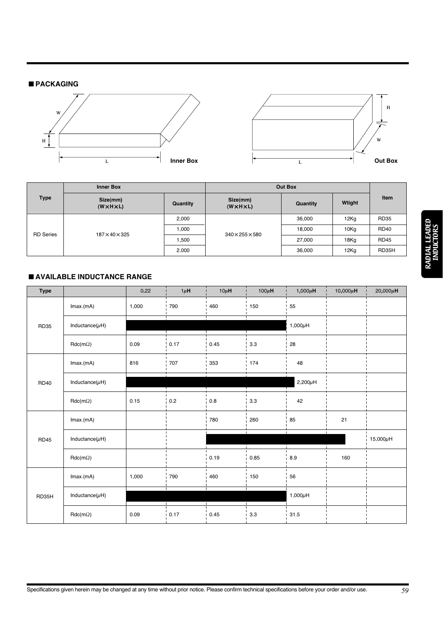# ■*PACKAGING*





|                  | <b>Inner Box</b>                    | Out Box  |                                     |          |             |             |
|------------------|-------------------------------------|----------|-------------------------------------|----------|-------------|-------------|
| <b>Type</b>      | Size(mm)<br>$(W \times H \times L)$ | Quantity | Size(mm)<br>$(W \times H \times L)$ | Quantity | Wtight      | Item        |
|                  | 2,000                               |          | 36,000                              | 12Kg     | <b>RD35</b> |             |
| <b>RD</b> Series | 187×40×325                          | 1,000    | $340\times255\times580$             | 18,000   | 10Kg        | <b>RD40</b> |
|                  |                                     | ,500     |                                     | 27,000   | 18Kg        | <b>RD45</b> |
|                  |                                     | 2.000    |                                     | 36,000   | 12Kg        | RD35H       |

# ■*AVAILABLE INDUCTANCE RANGE*

| <b>Type</b>    |                      | 0.22    | $1 \mu$ H | $10\mu$ H                                                                                                                                                                                       | 100 $\mu$ H | $1,000\mu$ H | $10,000\mu$ H | 20,000 $\mu$ H      |
|----------------|----------------------|---------|-----------|-------------------------------------------------------------------------------------------------------------------------------------------------------------------------------------------------|-------------|--------------|---------------|---------------------|
|                | Imax.(mA)            | 1,000   | 790       | 460                                                                                                                                                                                             | 150         | 55           |               |                     |
| <b>RD35</b>    | Inductance( $\mu$ H) |         | -1        |                                                                                                                                                                                                 |             | $1,000\mu$ H |               |                     |
|                | $Rdc(m\Omega)$       | 0.09    | 0.17      | 0.45<br>3.3<br>28<br>353<br>174<br>48<br>$2,200\mu\text{H}$<br>$0.8\,$<br>3.3<br>42<br>85<br>780<br>260<br>0.19<br>8.9<br>0.85<br>460<br>150<br>56<br>$1,000\mu\text{H}$<br>0.45<br>3.3<br>31.5 |             |              |               |                     |
|                | Imax.(mA)            | 816     | 707       |                                                                                                                                                                                                 |             |              |               |                     |
| <b>RD40</b>    | Inductance( $\mu$ H) |         |           |                                                                                                                                                                                                 |             |              |               |                     |
| $Rdc(m\Omega)$ | 0.15                 | $0.2\,$ |           |                                                                                                                                                                                                 |             |              |               |                     |
|                | Imax.(mA)            |         |           |                                                                                                                                                                                                 |             |              | 21            |                     |
| <b>RD45</b>    | Inductance( $\mu$ H) |         |           |                                                                                                                                                                                                 |             |              |               | $15,000\mu\text{H}$ |
|                | $Rdc(m\Omega)$       |         |           |                                                                                                                                                                                                 |             |              | 160           |                     |
|                | Imax.(mA)            | 1,000   | 790       |                                                                                                                                                                                                 |             |              |               |                     |
| RD35H          | Inductance( $\mu$ H) |         |           |                                                                                                                                                                                                 |             |              |               |                     |
|                | $Rdc(m\Omega)$       | 0.09    | 0.17      |                                                                                                                                                                                                 |             |              |               |                     |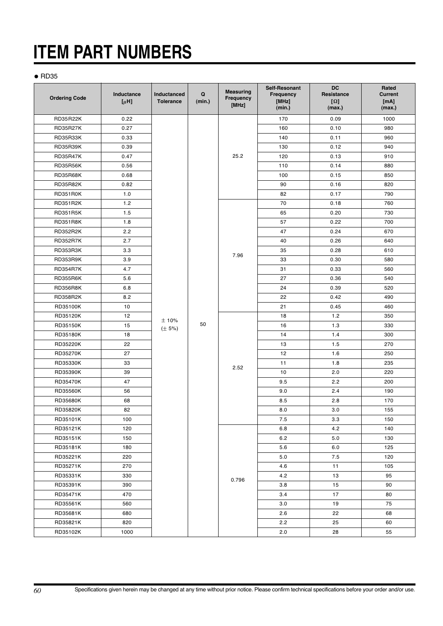# **ITEM PART NUMBERS**

### ● RD35

| <b>Ordering Code</b> | Inductance<br>$[\mu H]$ | Inductanced<br><b>Tolerance</b> | Q<br>(min.) | <b>Measuring</b><br>Frequency<br>[MHz] | Self-Resonant<br>Frequency<br>[MHz]<br>(min.) | <b>DC</b><br>Resistance<br>$[\Omega]$<br>(max.) | Rated<br><b>Current</b><br>[mA]<br>(max.) |
|----------------------|-------------------------|---------------------------------|-------------|----------------------------------------|-----------------------------------------------|-------------------------------------------------|-------------------------------------------|
| <b>RD35R22K</b>      | 0.22                    |                                 |             |                                        | 170                                           | 0.09                                            | 1000                                      |
| <b>RD35R27K</b>      | 0.27                    |                                 |             |                                        | 160                                           | 0.10                                            | 980                                       |
| RD35R33K             | 0.33                    |                                 |             |                                        | 140                                           | 0.11                                            | 960                                       |
| RD35R39K             | 0.39                    |                                 |             |                                        | 130                                           | 0.12                                            | 940                                       |
| <b>RD35R47K</b>      | 0.47                    |                                 |             | 25.2                                   | 120                                           | 0.13                                            | 910                                       |
| <b>RD35R56K</b>      | 0.56                    |                                 |             |                                        | 110                                           | 0.14                                            | 880                                       |
| RD35R68K             | 0.68                    |                                 |             |                                        | 100                                           | 0.15                                            | 850                                       |
| <b>RD35R82K</b>      | 0.82                    |                                 |             |                                        | 90                                            | 0.16                                            | 820                                       |
| RD351R0K             | 1.0                     |                                 |             |                                        | 82                                            | 0.17                                            | 790                                       |
| <b>RD351R2K</b>      | 1.2                     |                                 |             |                                        | 70                                            | 0.18                                            | 760                                       |
| <b>RD351R5K</b>      | 1.5                     |                                 |             |                                        | 65                                            | 0.20                                            | 730                                       |
| <b>RD351R8K</b>      | 1.8                     |                                 |             |                                        | 57                                            | 0.22                                            | 700                                       |
| <b>RD352R2K</b>      | 2.2                     |                                 |             |                                        | 47                                            | 0.24                                            | 670                                       |
| <b>RD352R7K</b>      | 2.7                     |                                 |             |                                        | 40                                            | 0.26                                            | 640                                       |
| RD353R3K             | 3.3                     |                                 |             |                                        | 35                                            | 0.28                                            | 610                                       |
| <b>RD353R9K</b>      | 3.9                     |                                 |             | 7.96                                   | 33                                            | 0.30                                            | 580                                       |
| <b>RD354R7K</b>      | 4.7                     |                                 |             |                                        | 31                                            | 0.33                                            | 560                                       |
| <b>RD355R6K</b>      | 5.6                     |                                 |             |                                        | 27                                            | 0.36                                            | 540                                       |
| <b>RD356R8K</b>      | 6.8                     |                                 |             |                                        | 24                                            | 0.39                                            | 520                                       |
| <b>RD358R2K</b>      | 8.2                     |                                 |             |                                        | 22                                            | 0.42                                            | 490                                       |
| RD35100K             | 10                      |                                 |             |                                        | 21                                            | 0.45                                            | 460                                       |
| RD35120K             | 12                      | ±10%                            |             |                                        | 18                                            | 1.2                                             | 350                                       |
| RD35150K             | 15                      | $(\pm 5\%)$                     | 50          |                                        | 16                                            | 1.3                                             | 330                                       |
| RD35180K             | 18                      |                                 |             | 2.52                                   | 14                                            | 1.4                                             | 300                                       |
| RD35220K             | 22                      |                                 |             |                                        | 13                                            | 1.5                                             | 270                                       |
| RD35270K             | 27                      |                                 |             |                                        | 12                                            | 1.6                                             | 250                                       |
| RD35330K             | 33                      |                                 |             |                                        | 11                                            | 1.8                                             | 235                                       |
| RD35390K             | 39                      |                                 |             |                                        | 10                                            | 2.0                                             | 220                                       |
| RD35470K             | 47                      |                                 |             |                                        | 9.5                                           | 2.2                                             | 200                                       |
| RD35560K             | 56                      |                                 |             |                                        | 9.0                                           | 2.4                                             | 190                                       |
| RD35680K             | 68                      |                                 |             |                                        | 8.5                                           | 2.8                                             | 170                                       |
| RD35820K             | 82                      |                                 |             |                                        | 8.0                                           | 3.0                                             | 155                                       |
| RD35101K             | 100                     |                                 |             |                                        | 7.5                                           | 3.3                                             | 150                                       |
| RD35121K             | 120                     |                                 |             |                                        | 6.8                                           | 4.2                                             | 140                                       |
| RD35151K             | 150                     |                                 |             |                                        | 6.2                                           | 5.0                                             | 130                                       |
| RD35181K             | 180                     |                                 |             |                                        | 5.6                                           | 6.0                                             | 125                                       |
| RD35221K             | 220                     |                                 |             |                                        | 5.0                                           | 7.5                                             | 120                                       |
| RD35271K             | 270                     |                                 |             |                                        | 4.6                                           | 11                                              | 105                                       |
| RD35331K             | 330                     |                                 |             | 0.796                                  | 4.2                                           | 13                                              | 95                                        |
| RD35391K             | 390                     |                                 |             |                                        | 3.8                                           | 15                                              | 90                                        |
| RD35471K             | 470                     |                                 |             |                                        | 3.4                                           | 17                                              | 80                                        |
| RD35561K             | 560                     |                                 |             |                                        | 3.0                                           | 19                                              | 75                                        |
| RD35681K             | 680                     |                                 |             |                                        | 2.6                                           | 22                                              | 68                                        |
| RD35821K             | 820                     |                                 |             |                                        | 2.2                                           | 25                                              | 60                                        |
| RD35102K             | 1000                    |                                 |             |                                        | 2.0                                           | 28                                              | 55                                        |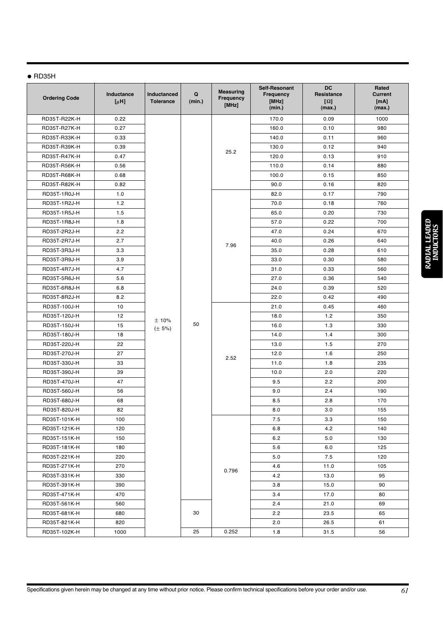# $\bullet$  RD35H

| <b>Ordering Code</b> | Inductance<br>$[\mu H]$ | Inductanced<br><b>Tolerance</b> | Q<br>(min.) | <b>Measuring</b><br>Frequency<br>[MHz] | Self-Resonant<br>Frequency<br>[MHz]<br>(min.) | <b>DC</b><br>Resistance<br>$[\Omega]$<br>(max.) | Rated<br><b>Current</b><br>[mA]<br>(max.) |
|----------------------|-------------------------|---------------------------------|-------------|----------------------------------------|-----------------------------------------------|-------------------------------------------------|-------------------------------------------|
| RD35T-R22K-H         | 0.22                    |                                 |             |                                        | 170.0                                         | 0.09                                            | 1000                                      |
| RD35T-R27K-H         | 0.27                    |                                 |             |                                        | 160.0                                         | 0.10                                            | 980                                       |
| RD35T-R33K-H         | 0.33                    |                                 |             |                                        | 140.0                                         | 0.11                                            | 960                                       |
| RD35T-R39K-H         | 0.39                    |                                 |             |                                        | 130.0                                         | 0.12                                            | 940                                       |
| RD35T-R47K-H         | 0.47                    |                                 |             | 25.2                                   | 120.0                                         | 0.13                                            | 910                                       |
| RD35T-R56K-H         | 0.56                    |                                 |             |                                        | 110.0                                         | 0.14                                            | 880                                       |
| RD35T-R68K-H         | 0.68                    |                                 |             |                                        | 100.0                                         | 0.15                                            | 850                                       |
| RD35T-R82K-H         | 0.82                    |                                 |             |                                        | 90.0                                          | 0.16                                            | 820                                       |
| RD35T-1R0J-H         | 1.0                     |                                 |             |                                        | 82.0                                          | 0.17                                            | 790                                       |
| RD35T-1R2J-H         | 1.2                     |                                 |             |                                        | 70.0                                          | 0.18                                            | 760                                       |
| RD35T-1R5J-H         | 1.5                     |                                 |             |                                        | 65.0                                          | 0.20                                            | 730                                       |
| RD35T-1R8J-H         | 1.8                     |                                 |             |                                        | 57.0                                          | 0.22                                            | 700                                       |
| RD35T-2R2J-H         | 2.2                     |                                 |             |                                        | 47.0                                          | 0.24                                            | 670                                       |
| RD35T-2R7J-H         | 2.7                     |                                 |             |                                        | 40.0                                          | 0.26                                            | 640                                       |
| RD35T-3R3J-H         | 3.3                     |                                 |             | 7.96                                   | 35.0                                          | 0.28                                            | 610                                       |
| RD35T-3R9J-H         | 3.9                     |                                 |             |                                        | 33.0                                          | 0.30                                            | 580                                       |
| RD35T-4R7J-H         | 4.7                     |                                 |             |                                        | 31.0                                          | 0.33                                            | 560                                       |
| RD35T-5R6J-H         | 5.6                     |                                 |             |                                        | 27.0                                          | 0.36                                            | 540                                       |
| RD35T-6R8J-H         | 6.8                     |                                 |             |                                        | 24.0                                          | 0.39                                            | 520                                       |
| RD35T-8R2J-H         | 8.2                     |                                 |             |                                        | 22.0                                          | 0.42                                            | 490                                       |
| RD35T-100J-H         | 10                      |                                 |             | 2.52                                   | 21.0                                          | 0.45                                            | 460                                       |
| RD35T-120J-H         | 12                      | ±10%                            | 50          |                                        | 18.0                                          | 1.2                                             | 350                                       |
| RD35T-150J-H         | 15                      | $(\pm 5\%)$                     |             |                                        | 16.0                                          | 1.3                                             | 330                                       |
| RD35T-180J-H         | 18                      |                                 |             |                                        | 14.0                                          | 1.4                                             | 300                                       |
| RD35T-220J-H         | 22                      |                                 |             |                                        | 13.0                                          | 1.5                                             | 270                                       |
| RD35T-270J-H         | 27                      |                                 |             |                                        | 12.0                                          | 1.6                                             | 250                                       |
| RD35T-330J-H         | 33                      |                                 |             |                                        | 11.0                                          | 1.8                                             | 235                                       |
| RD35T-390J-H         | 39                      |                                 |             |                                        | 10.0                                          | 2.0                                             | 220                                       |
| RD35T-470J-H         | 47                      |                                 |             |                                        | 9.5                                           | 2.2                                             | 200                                       |
| RD35T-560J-H         | 56                      |                                 |             |                                        | 9.0                                           | 2.4                                             | 190                                       |
| RD35T-680J-H         | 68                      |                                 |             |                                        | 8.5                                           | 2.8                                             | 170                                       |
| RD35T-820J-H         | 82                      |                                 |             |                                        | 8.0                                           | 3.0                                             | 155                                       |
| RD35T-101K-H         | 100                     |                                 |             |                                        | 7.5                                           | 3.3                                             | 150                                       |
| RD35T-121K-H         | 120                     |                                 |             |                                        | 6.8                                           | 4.2                                             | 140                                       |
| RD35T-151K-H         | 150                     |                                 |             |                                        | 6.2                                           | 5.0                                             | 130                                       |
| RD35T-181K-H         | 180                     |                                 |             |                                        | 5.6                                           | 6.0                                             | 125                                       |
| RD35T-221K-H         | 220                     |                                 |             |                                        | 5.0                                           | 7.5                                             | 120                                       |
| RD35T-271K-H         | 270                     |                                 |             | 0.796                                  | 4.6                                           | 11.0                                            | 105                                       |
| RD35T-331K-H         | 330                     |                                 |             |                                        | 4.2                                           | 13.0                                            | 95                                        |
| RD35T-391K-H         | 390                     |                                 |             |                                        | 3.8                                           | 15.0                                            | 90                                        |
| RD35T-471K-H         | 470                     |                                 |             |                                        | 3.4                                           | 17.0                                            | 80                                        |
| RD35T-561K-H         | 560                     |                                 |             |                                        | 2.4                                           | 21.0                                            | 69                                        |
| RD35T-681K-H         | 680                     |                                 | 30          |                                        | 2.2                                           | 23.5                                            | 65                                        |
| RD35T-821K-H         | 820                     |                                 |             |                                        | 2.0                                           | 26.5                                            | 61                                        |
| RD35T-102K-H         | 1000                    |                                 | 25          | 0.252                                  | 1.8                                           | 31.5                                            | 56                                        |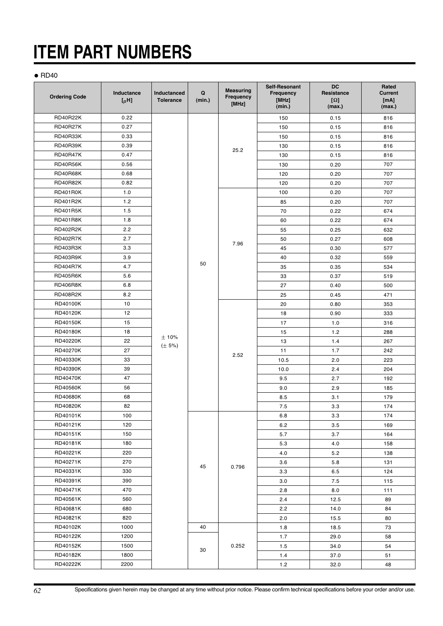# **ITEM PART NUMBERS**

### $\bullet$  RD40

| <b>Ordering Code</b> | Inductance<br>$[\mu H]$ | <b>Inductanced</b><br><b>Tolerance</b> | Q<br>(min.) | <b>Measuring</b><br>Frequency<br>[MHz] | Self-Resonant<br>Frequency<br>[MHz]<br>(min.) | <b>DC</b><br>Resistance<br>$[\Omega]$<br>(max.) | Rated<br><b>Current</b><br>[mA]<br>(max.) |
|----------------------|-------------------------|----------------------------------------|-------------|----------------------------------------|-----------------------------------------------|-------------------------------------------------|-------------------------------------------|
| <b>RD40R22K</b>      | 0.22                    |                                        |             |                                        | 150                                           | 0.15                                            | 816                                       |
| <b>RD40R27K</b>      | 0.27                    |                                        |             |                                        | 150                                           | 0.15                                            | 816                                       |
| <b>RD40R33K</b>      | 0.33                    |                                        |             |                                        | 150                                           | 0.15                                            | 816                                       |
| <b>RD40R39K</b>      | 0.39                    |                                        |             |                                        | 130                                           | 0.15                                            | 816                                       |
| <b>RD40R47K</b>      | 0.47                    |                                        |             | 25.2                                   | 130                                           | 0.15                                            | 816                                       |
| <b>RD40R56K</b>      | 0.56                    |                                        |             |                                        | 130                                           | 0.20                                            | 707                                       |
| RD40R68K             | 0.68                    |                                        |             |                                        | 120                                           | 0.20                                            | 707                                       |
| <b>RD40R82K</b>      | 0.82                    |                                        |             |                                        | 120                                           | 0.20                                            | 707                                       |
| <b>RD401R0K</b>      | 1.0                     |                                        |             |                                        | 100                                           | 0.20                                            | 707                                       |
| <b>RD401R2K</b>      | 1.2                     |                                        |             |                                        | 85                                            | 0.20                                            | 707                                       |
| <b>RD401R5K</b>      | 1.5                     |                                        |             |                                        | 70                                            | 0.22                                            | 674                                       |
| <b>RD401R8K</b>      | 1.8                     |                                        |             |                                        | 60                                            | 0.22                                            | 674                                       |
| <b>RD402R2K</b>      | 2.2                     |                                        |             |                                        | 55                                            | 0.25                                            | 632                                       |
| <b>RD402R7K</b>      | 2.7                     |                                        |             |                                        | 50                                            | 0.27                                            | 608                                       |
| <b>RD403R3K</b>      | 3.3                     |                                        |             | 7.96                                   | 45                                            | 0.30                                            | 577                                       |
| <b>RD403R9K</b>      | 3.9                     |                                        |             |                                        | 40                                            | 0.32                                            | 559                                       |
| <b>RD404R7K</b>      | 4.7                     |                                        | 50          |                                        | 35                                            | 0.35                                            | 534                                       |
| <b>RD405R6K</b>      | 5.6                     |                                        |             |                                        | 33                                            | 0.37                                            | 519                                       |
| <b>RD406R8K</b>      | 6.8                     |                                        |             | 2.52                                   | 27                                            | 0.40                                            | 500                                       |
| <b>RD408R2K</b>      | 8.2                     |                                        |             |                                        | 25                                            | 0.45                                            | 471                                       |
| RD40100K             | 10                      |                                        |             |                                        | 20                                            | 0.80                                            | 353                                       |
| RD40120K             | 12                      |                                        |             |                                        | 18                                            | 0.90                                            | 333                                       |
| RD40150K             | 15                      |                                        |             |                                        | 17                                            | 1.0                                             | 316                                       |
| RD40180K             | 18                      |                                        |             |                                        | 15                                            | 1.2                                             | 288                                       |
| RD40220K             | 22                      | ±10%                                   |             |                                        | 13                                            | 1.4                                             | 267                                       |
| RD40270K             | 27                      | $(\pm 5\%)$                            |             |                                        | 11                                            | 1.7                                             | 242                                       |
| RD40330K             | 33                      |                                        |             |                                        | 10.5                                          | 2.0                                             | 223                                       |
| RD40390K             | 39                      |                                        |             |                                        | 10.0                                          | 2.4                                             | 204                                       |
| RD40470K             | 47                      |                                        |             |                                        | 9.5                                           | 2.7                                             | 192                                       |
| RD40560K             | 56                      |                                        |             |                                        | 9.0                                           | 2.9                                             | 185                                       |
| RD40680K             | 68                      |                                        |             |                                        | 8.5                                           | 3.1                                             | 179                                       |
| RD40820K             | 82                      |                                        |             |                                        | 7.5                                           | 3.3                                             | 174                                       |
| RD40101K             | 100                     |                                        |             |                                        | 6.8                                           | 3.3                                             | 174                                       |
| RD40121K             | 120                     |                                        |             |                                        | 6.2                                           | 3.5                                             | 169                                       |
| RD40151K             | 150                     |                                        |             |                                        | 5.7                                           | 3.7                                             | 164                                       |
| RD40181K             | 180                     |                                        |             |                                        | 5.3                                           | 4.0                                             | 158                                       |
| RD40221K             | 220                     |                                        |             |                                        | 4.0                                           | 5.2                                             | 138                                       |
| RD40271K             | 270                     |                                        |             |                                        | 3.6                                           | 5.8                                             | 131                                       |
| RD40331K             | 330                     |                                        | 45          | 0.796                                  | 3.3                                           | 6.5                                             | 124                                       |
| RD40391K             | 390                     |                                        |             |                                        | 3.0                                           | 7.5                                             | 115                                       |
| RD40471K             | 470                     |                                        |             |                                        | 2.8                                           | 8.0                                             | 111                                       |
| RD40561K             | 560                     |                                        |             |                                        | 2.4                                           | 12.5                                            | 89                                        |
| RD40681K             | 680                     |                                        |             |                                        | 2.2                                           | 14.0                                            | 84                                        |
| RD40821K             | 820                     |                                        |             |                                        | 2.0                                           | 15.5                                            | 80                                        |
| RD40102K             | 1000                    |                                        | 40          |                                        | 1.8                                           | 18.5                                            | 73                                        |
| RD40122K             | 1200                    |                                        |             |                                        | 1.7                                           | 29.0                                            | 58                                        |
| RD40152K             | 1500                    |                                        |             | 0.252                                  | 1.5                                           | 34.0                                            | 54                                        |
| RD40182K             | 1800                    |                                        | 30          |                                        | 1.4                                           | 37.0                                            | 51                                        |
| RD40222K             | 2200                    |                                        |             |                                        | 1.2                                           | 32.0                                            | 48                                        |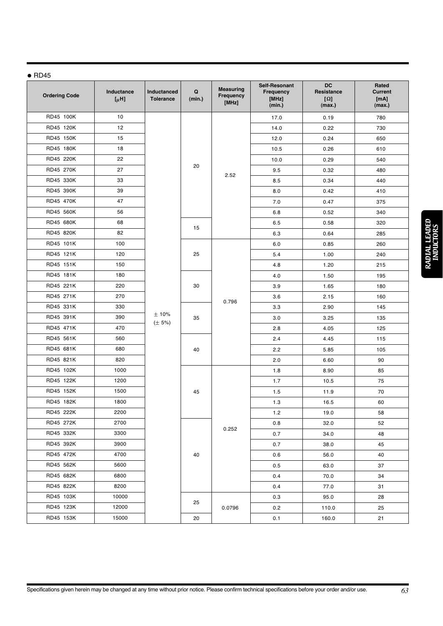### $\bullet$  RD45

| <b>Ordering Code</b> | Inductance<br>$[\mu$ H] | Inductanced<br><b>Tolerance</b> | Q<br>(min.) | <b>Measuring</b><br>Frequency<br>[MHz] | Self-Resonant<br><b>Frequency</b><br>[MHz]<br>(min.) | <b>DC</b><br>Resistance<br>$[\Omega]$<br>(max.) | Rated<br><b>Current</b><br>[mA]<br>(max.) |
|----------------------|-------------------------|---------------------------------|-------------|----------------------------------------|------------------------------------------------------|-------------------------------------------------|-------------------------------------------|
| RD45 100K            | 10                      |                                 |             |                                        | 17.0                                                 | 0.19                                            | 780                                       |
| RD45 120K            | 12                      |                                 |             |                                        | 14.0                                                 | 0.22                                            | 730                                       |
| RD45 150K            | 15                      |                                 |             |                                        | 12.0                                                 | 0.24                                            | 650                                       |
| RD45 180K            | 18                      |                                 |             |                                        | 10.5                                                 | 0.26                                            | 610                                       |
| RD45 220K            | 22                      |                                 |             |                                        | 10.0                                                 | 0.29                                            | 540                                       |
| RD45 270K            | 27                      |                                 | 20          | 2.52                                   | 9.5                                                  | 0.32                                            | 480                                       |
| RD45 330K            | 33                      |                                 |             |                                        | 8.5                                                  | 0.34                                            | 440                                       |
| RD45 390K            | 39                      |                                 |             |                                        | 8.0                                                  | 0.42                                            | 410                                       |
| RD45 470K            | 47                      |                                 |             |                                        | 7.0                                                  | 0.47                                            | 375                                       |
| RD45 560K            | 56                      |                                 |             |                                        | 6.8                                                  | 0.52                                            | 340                                       |
| RD45 680K            | 68                      |                                 | 15          |                                        | 6.5                                                  | 0.58                                            | 320                                       |
| RD45 820K            | 82                      |                                 |             |                                        | 6.3                                                  | 0.64                                            | 285                                       |
| RD45 101K            | 100                     |                                 |             |                                        | 6.0                                                  | 0.85                                            | 260                                       |
| RD45 121K            | 120                     |                                 | 25          | 0.796                                  | 5.4                                                  | 1.00                                            | 240                                       |
| RD45 151K            | 150                     |                                 |             |                                        | 4.8                                                  | 1.20                                            | 215                                       |
| RD45 181K            | 180                     |                                 | 30          |                                        | 4.0                                                  | 1.50                                            | 195                                       |
| RD45 221K            | 220                     |                                 |             |                                        | 3.9                                                  | 1.65                                            | 180                                       |
| RD45 271K            | 270                     |                                 |             |                                        | 3.6                                                  | 2.15                                            | 160                                       |
| RD45 331K            | 330                     |                                 |             |                                        | 3.3                                                  | 2.90                                            | 145                                       |
| RD45 391K            | 390                     | ±10%<br>$(\pm 5\%)$             | 35          |                                        | 3.0                                                  | 3.25                                            | 135                                       |
| RD45 471K            | 470                     |                                 |             |                                        | 2.8                                                  | 4.05                                            | 125                                       |
| RD45 561K            | 560                     |                                 |             |                                        | 2.4                                                  | 4.45                                            | 115                                       |
| RD45 681K            | 680                     |                                 | 40          |                                        | 2.2                                                  | 5.85                                            | 105                                       |
| RD45 821K            | 820                     |                                 |             |                                        | 2.0                                                  | 6.60                                            | 90                                        |
| RD45 102K            | 1000                    |                                 |             | 45                                     | 1.8                                                  | 8.90                                            | 85                                        |
| RD45 122K            | 1200                    |                                 |             |                                        | 1.7                                                  | 10.5                                            | 75                                        |
| RD45 152K            | 1500                    |                                 |             |                                        | 1.5                                                  | 11.9                                            | 70                                        |
| RD45 182K            | 1800                    |                                 |             |                                        | 1.3                                                  | 16.5                                            | 60                                        |
| RD45 222K            | 2200                    |                                 |             |                                        | 1.2                                                  | 19.0                                            | 58                                        |
| RD45 272K            | 2700                    |                                 |             |                                        | 0.8                                                  | 32.0                                            | 52                                        |
| RD45 332K            | 3300                    |                                 |             | 0.252                                  | 0.7                                                  | 34.0                                            | 48                                        |
| RD45 392K            | 3900                    |                                 |             |                                        | 0.7                                                  | 38.0                                            | 45                                        |
| RD45 472K            | 4700                    |                                 | 40          |                                        | 0.6                                                  | 56.0                                            | 40                                        |
| RD45 562K            | 5600                    |                                 |             |                                        | 0.5                                                  | 63.0                                            | 37                                        |
| RD45 682K            | 6800                    |                                 |             |                                        | 0.4                                                  | 70.0                                            | 34                                        |
| RD45 822K            | 8200                    |                                 |             |                                        | 0.4                                                  | 77.0                                            | 31                                        |
| RD45 103K            | 10000                   |                                 |             |                                        | 0.3                                                  | 95.0                                            | 28                                        |
| RD45 123K            | 12000                   |                                 | 25          | 0.0796                                 | 0.2                                                  | 110.0                                           | 25                                        |
| RD45 153K            | 15000                   |                                 | 20          |                                        | 0.1                                                  | 160.0                                           | 21                                        |